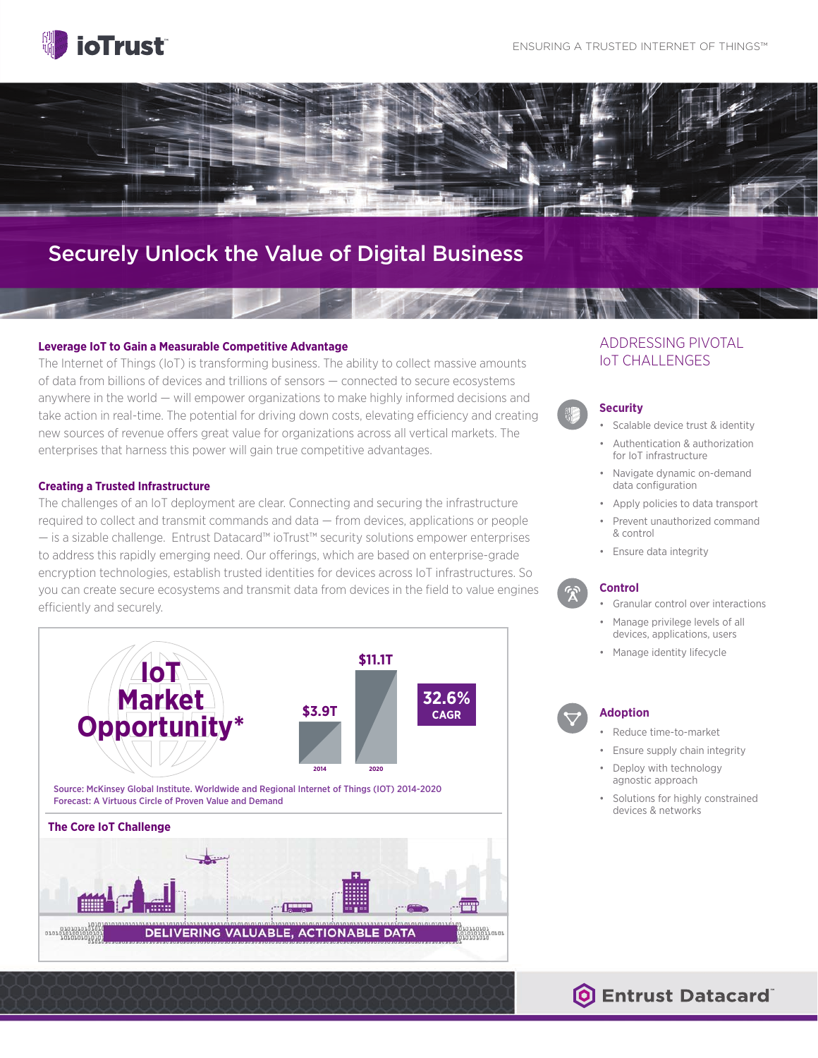



## Securely Unlock the Value of Digital Business

#### **Leverage IoT to Gain a Measurable Competitive Advantage**

The Internet of Things (IoT) is transforming business. The ability to collect massive amounts of data from billions of devices and trillions of sensors — connected to secure ecosystems anywhere in the world — will empower organizations to make highly informed decisions and take action in real-time. The potential for driving down costs, elevating efficiency and creating new sources of revenue offers great value for organizations across all vertical markets. The enterprises that harness this power will gain true competitive advantages.

#### **Creating a Trusted Infrastructure**

The challenges of an IoT deployment are clear. Connecting and securing the infrastructure required to collect and transmit commands and data — from devices, applications or people — is a sizable challenge. Entrust Datacard™ ioTrust™ security solutions empower enterprises to address this rapidly emerging need. Our offerings, which are based on enterprise-grade encryption technologies, establish trusted identities for devices across IoT infrastructures. So you can create secure ecosystems and transmit data from devices in the field to value engines efficiently and securely.



## ADDRESSING PIVOTAL IoT CHALLENGES

#### **Security**

**10100101011010 10001 10100101011010 10100101011010**

- Scalable device trust & identity
- Authentication & authorization for IoT infrastructure
- Navigate dynamic on-demand data configuration
- Apply policies to data transport
- Prevent unauthorized command & control
- Ensure data integrity

#### **Control**

- Granular control over interactions
- Manage privilege levels of all devices, applications, users
- Manage identity lifecycle

#### **Adoption**

- Reduce time-to-market
- Ensure supply chain integrity
- Deploy with technology agnostic approach
- Solutions for highly constrained devices & networks

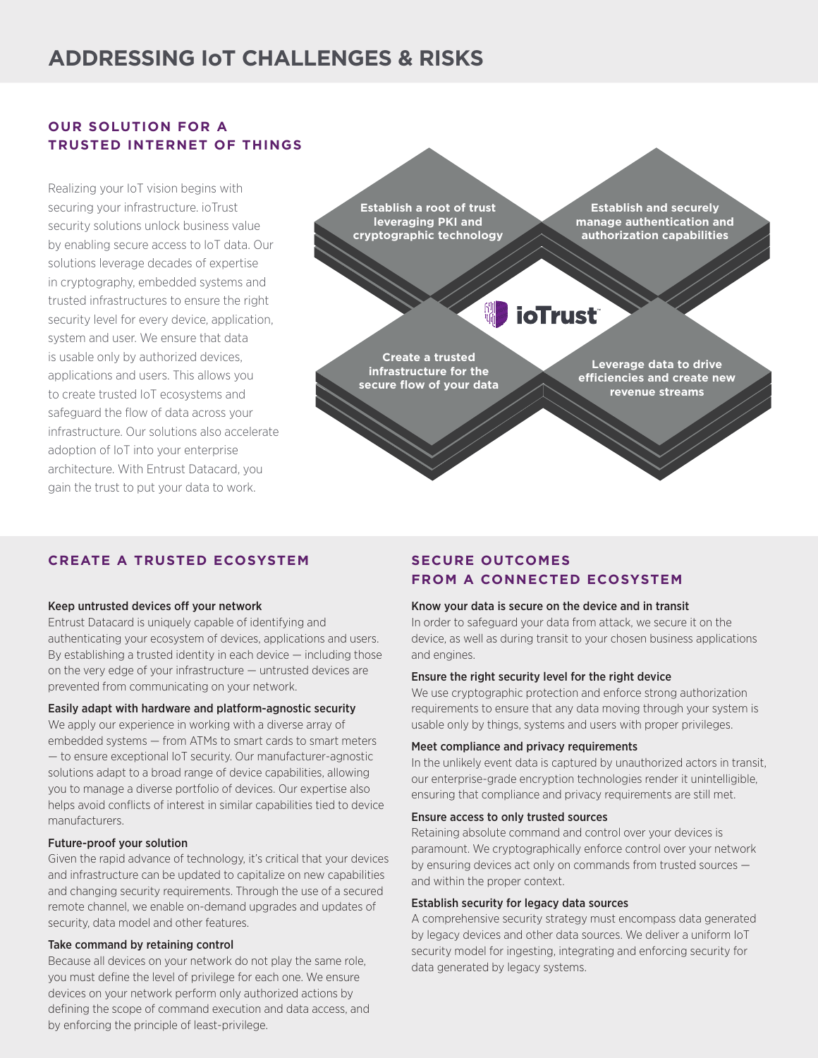## **ADDRESSING IoT CHALLENGES & RISKS**

## **OUR SOLUTION FOR A TRUSTED INTERNET OF THINGS**

Realizing your IoT vision begins with securing your infrastructure. ioTrust security solutions unlock business value by enabling secure access to IoT data. Our solutions leverage decades of expertise in cryptography, embedded systems and trusted infrastructures to ensure the right security level for every device, application, system and user. We ensure that data is usable only by authorized devices, applications and users. This allows you to create trusted IoT ecosystems and safeguard the flow of data across your infrastructure. Our solutions also accelerate adoption of IoT into your enterprise architecture. With Entrust Datacard, you gain the trust to put your data to work.

**Establish a root of trust leveraging PKI and cryptographic technology**

**Establish and securely manage authentication and authorization capabilities**

# **10100101011010 10100101011010 10100101011010 10100101011010**

**Create a trusted infrastructure for the secure flow of your data**

**Leverage data to drive efficiencies and create new revenue streams**

### **CREATE A TRUSTED ECOSYSTEM**

#### Keep untrusted devices off your network

Entrust Datacard is uniquely capable of identifying and authenticating your ecosystem of devices, applications and users. By establishing a trusted identity in each device — including those on the very edge of your infrastructure — untrusted devices are prevented from communicating on your network.

#### Easily adapt with hardware and platform-agnostic security

We apply our experience in working with a diverse array of embedded systems — from ATMs to smart cards to smart meters — to ensure exceptional IoT security. Our manufacturer-agnostic solutions adapt to a broad range of device capabilities, allowing you to manage a diverse portfolio of devices. Our expertise also helps avoid conflicts of interest in similar capabilities tied to device manufacturers.

#### Future-proof your solution

Given the rapid advance of technology, it's critical that your devices and infrastructure can be updated to capitalize on new capabilities and changing security requirements. Through the use of a secured remote channel, we enable on-demand upgrades and updates of security, data model and other features.

#### Take command by retaining control

Because all devices on your network do not play the same role, you must define the level of privilege for each one. We ensure devices on your network perform only authorized actions by defining the scope of command execution and data access, and by enforcing the principle of least-privilege.

## **SECURE OUTCOMES FROM A CONNECTED ECOSYSTEM**

#### Know your data is secure on the device and in transit

In order to safeguard your data from attack, we secure it on the device, as well as during transit to your chosen business applications and engines.

#### Ensure the right security level for the right device

We use cryptographic protection and enforce strong authorization requirements to ensure that any data moving through your system is usable only by things, systems and users with proper privileges.

#### Meet compliance and privacy requirements

In the unlikely event data is captured by unauthorized actors in transit, our enterprise-grade encryption technologies render it unintelligible, ensuring that compliance and privacy requirements are still met.

#### Ensure access to only trusted sources

Retaining absolute command and control over your devices is paramount. We cryptographically enforce control over your network by ensuring devices act only on commands from trusted sources and within the proper context.

#### Establish security for legacy data sources

A comprehensive security strategy must encompass data generated by legacy devices and other data sources. We deliver a uniform IoT security model for ingesting, integrating and enforcing security for data generated by legacy systems.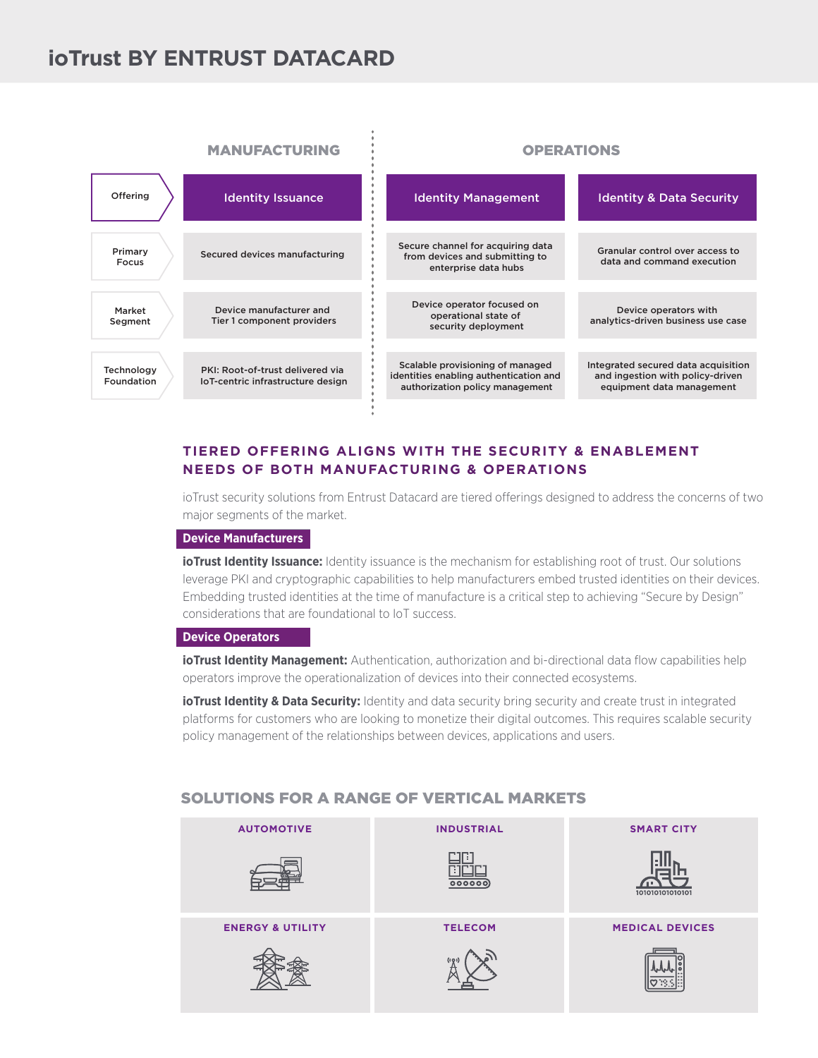## **ioTrust BY ENTRUST DATACARD**



## **TIERED OFFERING ALIGNS WITH THE SECURITY & ENABLEMENT NEEDS OF BOTH MANUFACTURING & OPERATIONS**

ioTrust security solutions from Entrust Datacard are tiered offerings designed to address the concerns of two major segments of the market.

#### **Device Manufacturers**

**ioTrust Identity Issuance:** Identity issuance is the mechanism for establishing root of trust. Our solutions leverage PKI and cryptographic capabilities to help manufacturers embed trusted identities on their devices. Embedding trusted identities at the time of manufacture is a critical step to achieving "Secure by Design" considerations that are foundational to IoT success.

#### **Device Operators**

**ioTrust Identity Management:** Authentication, authorization and bi-directional data flow capabilities help operators improve the operationalization of devices into their connected ecosystems.

**ioTrust Identity & Data Security:** Identity and data security bring security and create trust in integrated platforms for customers who are looking to monetize their digital outcomes. This requires scalable security policy management of the relationships between devices, applications and users.

## SOLUTIONS FOR A RANGE OF VERTICAL MARKETS

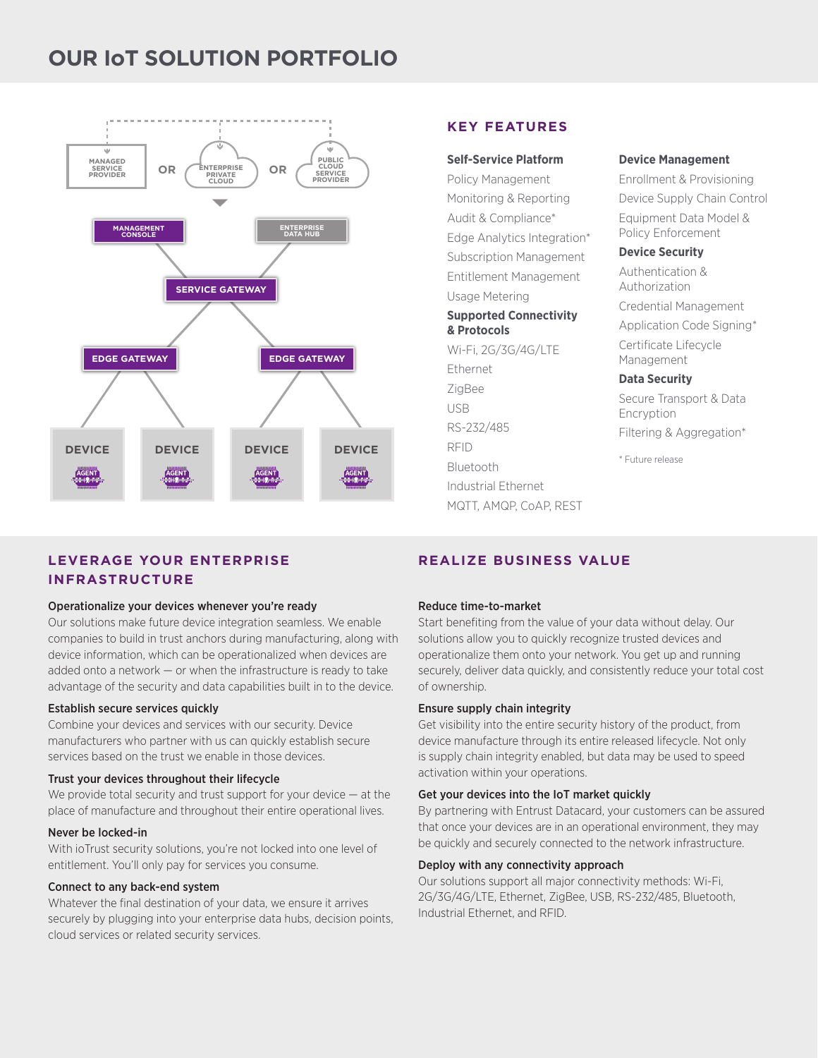## **OUR IoT SOLUTION PORTFOLIO**



## **LEVERAGE YOUR ENTERPRISE INFRASTRUCTURE**

#### Operationalize your devices whenever you're ready

Our solutions make future device integration seamless. We enable companies to build in trust anchors during manufacturing, along with device information, which can be operationalized when devices are added onto a network  $-$  or when the infrastructure is ready to take advantage of the security and data capabilities built in to the device.

#### Establish secure services quickly

Combine your devices and services with our security. Device manufacturers who partner with us can quickly establish secure services based on the trust we enable in those devices.

#### Trust your devices throughout their lifecycle

We provide total security and trust support for your device — at the place of manufacture and throughout their entire operational lives.

#### Never be locked-in

With ioTrust security solutions, you're not locked into one level of entitlement. You'll only pay for services you consume.

#### Connect to any back-end system

Whatever the final destination of your data, we ensure it arrives securely by plugging into your enterprise data hubs, decision points, cloud services or related security services.

#### **KEY FEATURES**

#### **Self-Service Platform**

Policy Management Monitoring & Reporting Audit & Compliance\* Edge Analytics Integration\* Subscription Management Entitlement Management Usage Metering

#### **Supported Connectivity & Protocols**

Wi-Fi, 2G/3G/4G/LTE Ethernet ZigBee USB RS-232/485 RFID Bluetooth Industrial Ethernet MQTT, AMQP, CoAP, REST

#### **Device Management**

Enrollment & Provisioning Device Supply Chain Control Equipment Data Model & Policy Enforcement

#### **Device Security**

Authentication & Authorization

Credential Management

Application Code Signing\* Certificate Lifecycle

Management

#### **Data Security**

Secure Transport & Data Encryption Filtering & Aggregation\*

\* Future release

## **REALIZE BUSINESS VALUE**

#### Reduce time-to-market

Start benefiting from the value of your data without delay. Our solutions allow you to quickly recognize trusted devices and operationalize them onto your network. You get up and running securely, deliver data quickly, and consistently reduce your total cost of ownership.

#### Ensure supply chain integrity

Get visibility into the entire security history of the product, from device manufacture through its entire released lifecycle. Not only is supply chain integrity enabled, but data may be used to speed activation within your operations.

#### Get your devices into the IoT market quickly

By partnering with Entrust Datacard, your customers can be assured that once your devices are in an operational environment, they may be quickly and securely connected to the network infrastructure.

#### Deploy with any connectivity approach

Our solutions support all major connectivity methods: Wi-Fi, 2G/3G/4G/LTE, Ethernet, ZigBee, USB, RS-232/485, Bluetooth, Industrial Ethernet, and RFID.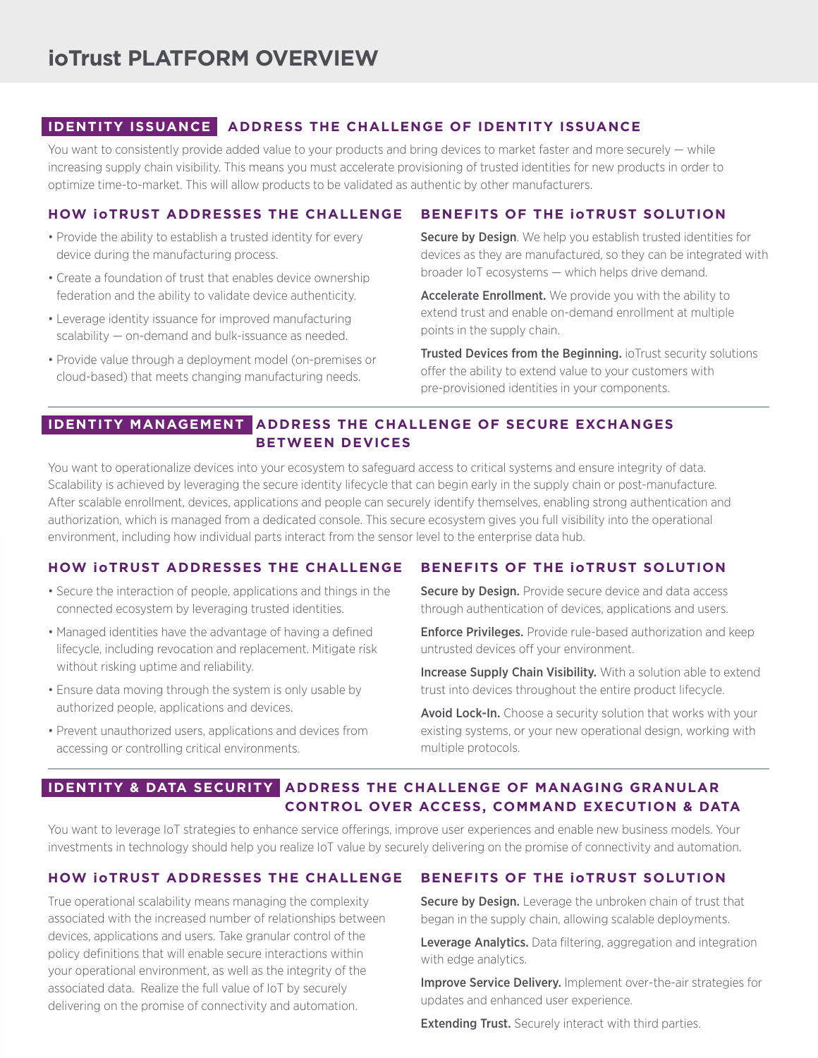## **IDENTITY ISSUANCE ADDRESS THE CHALLENGE OF IDENTITY ISSUANCE**

You want to consistently provide added value to your products and bring devices to market faster and more securely — while increasing supply chain visibility. This means you must accelerate provisioning of trusted identities for new products in order to optimize time-to-market. This will allow products to be validated as authentic by other manufacturers.

#### **BENEFITS OF THE ioTRUST SOLUTION HOW ioTRUST ADDRESSES THE CHALLENGE**

- Provide the ability to establish a trusted identity for every device during the manufacturing process.
- Create a foundation of trust that enables device ownership federation and the ability to validate device authenticity.
- Leverage identity issuance for improved manufacturing scalability — on-demand and bulk-issuance as needed.
- Provide value through a deployment model (on-premises or cloud-based) that meets changing manufacturing needs.

## Secure by Design. We help you establish trusted identities for devices as they are manufactured, so they can be integrated with broader IoT ecosystems — which helps drive demand.

Accelerate Enrollment. We provide you with the ability to extend trust and enable on-demand enrollment at multiple points in the supply chain.

Trusted Devices from the Beginning. ioTrust security solutions offer the ability to extend value to your customers with pre-provisioned identities in your components.

## **IDENTITY MANAGEMENT ADDRESS THE CHALLENGE OF SECURE EXCHANGES BETWEEN DEVICES**

You want to operationalize devices into your ecosystem to safeguard access to critical systems and ensure integrity of data. Scalability is achieved by leveraging the secure identity lifecycle that can begin early in the supply chain or post-manufacture. After scalable enrollment, devices, applications and people can securely identify themselves, enabling strong authentication and authorization, which is managed from a dedicated console. This secure ecosystem gives you full visibility into the operational environment, including how individual parts interact from the sensor level to the enterprise data hub.

## **HOW ioTRUST ADDRESSES THE CHALLENGE**

- Secure the interaction of people, applications and things in the connected ecosystem by leveraging trusted identities.
- Managed identities have the advantage of having a defined lifecycle, including revocation and replacement. Mitigate risk without risking uptime and reliability.
- Ensure data moving through the system is only usable by authorized people, applications and devices.
- Prevent unauthorized users, applications and devices from accessing or controlling critical environments.

## **BENEFITS OF THE ioTRUST SOLUTION**

Secure by Design. Provide secure device and data access through authentication of devices, applications and users.

Enforce Privileges. Provide rule-based authorization and keep untrusted devices off your environment.

Increase Supply Chain Visibility. With a solution able to extend trust into devices throughout the entire product lifecycle.

Avoid Lock-In. Choose a security solution that works with your existing systems, or your new operational design, working with multiple protocols.

## **IDENTITY & DATA SECURITY ADDRESS THE CHALLENGE OF MANAGING GRANULAR CONTROL OVER ACCESS, COMMAND EXECUTION & DATA**

You want to leverage IoT strategies to enhance service offerings, improve user experiences and enable new business models. Your investments in technology should help you realize IoT value by securely delivering on the promise of connectivity and automation.

## **HOW ioTRUST ADDRESSES THE CHALLENGE**

True operational scalability means managing the complexity associated with the increased number of relationships between devices, applications and users. Take granular control of the policy definitions that will enable secure interactions within your operational environment, as well as the integrity of the associated data. Realize the full value of IoT by securely delivering on the promise of connectivity and automation.

## **BENEFITS OF THE ioTRUST SOLUTION**

Secure by Design. Leverage the unbroken chain of trust that began in the supply chain, allowing scalable deployments.

Leverage Analytics. Data filtering, aggregation and integration with edge analytics.

Improve Service Delivery. Implement over-the-air strategies for updates and enhanced user experience.

**Extending Trust.** Securely interact with third parties.